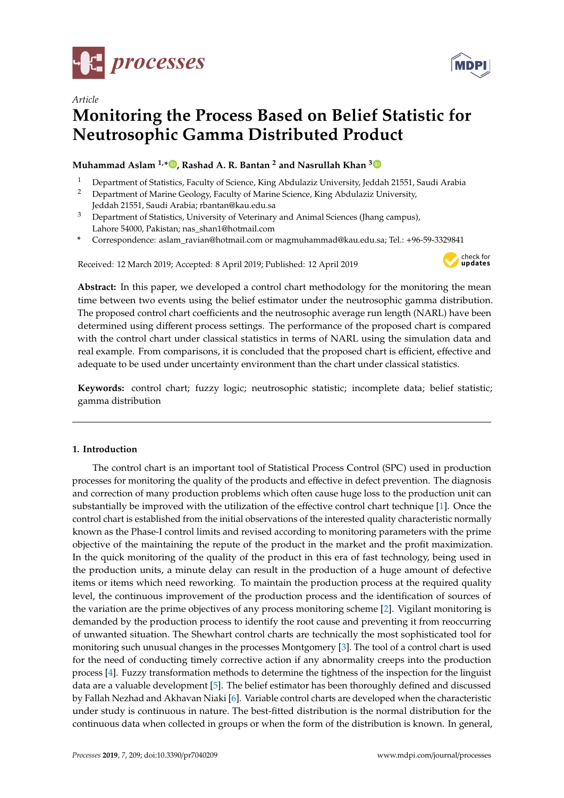

*Article*



# **Monitoring the Process Based on Belief Statistic for Neutrosophic Gamma Distributed Product**

## **Muhammad Aslam 1,\* [,](https://orcid.org/0000-0003-0644-1950) Rashad A. R. Bantan <sup>2</sup> and Nasrullah Khan [3](https://orcid.org/0000-0003-0232-3260)**

- <sup>1</sup> Department of Statistics, Faculty of Science, King Abdulaziz University, Jeddah 21551, Saudi Arabia<sup>2</sup> Department of Marine Coology Faculty of Marine Science, *King Abdulaziz University*
- <sup>2</sup> Department of Marine Geology, Faculty of Marine Science, King Abdulaziz University, Jeddah 21551, Saudi Arabia; rbantan@kau.edu.sa
- <sup>3</sup> Department of Statistics, University of Veterinary and Animal Sciences (Jhang campus), Lahore 54000, Pakistan; nas\_shan1@hotmail.com
- **\*** Correspondence: aslam\_ravian@hotmail.com or magmuhammad@kau.edu.sa; Tel.: +96-59-3329841

Received: 12 March 2019; Accepted: 8 April 2019; Published: 12 April 2019



**Abstract:** In this paper, we developed a control chart methodology for the monitoring the mean time between two events using the belief estimator under the neutrosophic gamma distribution. The proposed control chart coefficients and the neutrosophic average run length (NARL) have been determined using different process settings. The performance of the proposed chart is compared with the control chart under classical statistics in terms of NARL using the simulation data and real example. From comparisons, it is concluded that the proposed chart is efficient, effective and adequate to be used under uncertainty environment than the chart under classical statistics.

**Keywords:** control chart; fuzzy logic; neutrosophic statistic; incomplete data; belief statistic; gamma distribution

## **1. Introduction**

The control chart is an important tool of Statistical Process Control (SPC) used in production processes for monitoring the quality of the products and effective in defect prevention. The diagnosis and correction of many production problems which often cause huge loss to the production unit can substantially be improved with the utilization of the effective control chart technique [\[1\]](#page-13-0). Once the control chart is established from the initial observations of the interested quality characteristic normally known as the Phase-I control limits and revised according to monitoring parameters with the prime objective of the maintaining the repute of the product in the market and the profit maximization. In the quick monitoring of the quality of the product in this era of fast technology, being used in the production units, a minute delay can result in the production of a huge amount of defective items or items which need reworking. To maintain the production process at the required quality level, the continuous improvement of the production process and the identification of sources of the variation are the prime objectives of any process monitoring scheme [\[2\]](#page-13-1). Vigilant monitoring is demanded by the production process to identify the root cause and preventing it from reoccurring of unwanted situation. The Shewhart control charts are technically the most sophisticated tool for monitoring such unusual changes in the processes Montgomery [\[3\]](#page-13-2). The tool of a control chart is used for the need of conducting timely corrective action if any abnormality creeps into the production process [\[4\]](#page-13-3). Fuzzy transformation methods to determine the tightness of the inspection for the linguist data are a valuable development [\[5\]](#page-13-4). The belief estimator has been thoroughly defined and discussed by Fallah Nezhad and Akhavan Niaki [\[6\]](#page-13-5). Variable control charts are developed when the characteristic under study is continuous in nature. The best-fitted distribution is the normal distribution for the continuous data when collected in groups or when the form of the distribution is known. In general,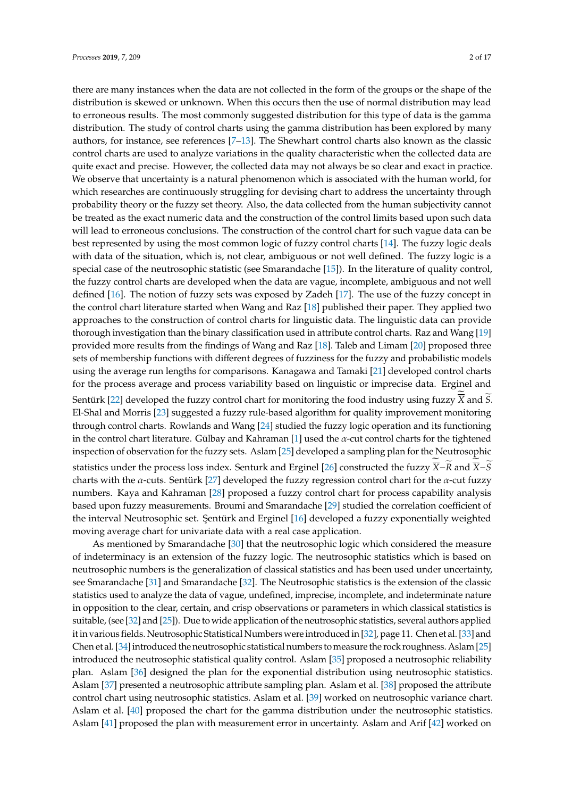there are many instances when the data are not collected in the form of the groups or the shape of the distribution is skewed or unknown. When this occurs then the use of normal distribution may lead to erroneous results. The most commonly suggested distribution for this type of data is the gamma distribution. The study of control charts using the gamma distribution has been explored by many authors, for instance, see references [\[7](#page-13-6)[–13\]](#page-13-7). The Shewhart control charts also known as the classic control charts are used to analyze variations in the quality characteristic when the collected data are quite exact and precise. However, the collected data may not always be so clear and exact in practice. We observe that uncertainty is a natural phenomenon which is associated with the human world, for which researches are continuously struggling for devising chart to address the uncertainty through probability theory or the fuzzy set theory. Also, the data collected from the human subjectivity cannot be treated as the exact numeric data and the construction of the control limits based upon such data will lead to erroneous conclusions. The construction of the control chart for such vague data can be best represented by using the most common logic of fuzzy control charts [\[14\]](#page-13-8). The fuzzy logic deals with data of the situation, which is, not clear, ambiguous or not well defined. The fuzzy logic is a special case of the neutrosophic statistic (see Smarandache [\[15\]](#page-14-0)). In the literature of quality control, the fuzzy control charts are developed when the data are vague, incomplete, ambiguous and not well defined [\[16\]](#page-14-1). The notion of fuzzy sets was exposed by Zadeh [\[17\]](#page-14-2). The use of the fuzzy concept in the control chart literature started when Wang and Raz [\[18\]](#page-14-3) published their paper. They applied two approaches to the construction of control charts for linguistic data. The linguistic data can provide thorough investigation than the binary classification used in attribute control charts. Raz and Wang [\[19\]](#page-14-4) provided more results from the findings of Wang and Raz [\[18\]](#page-14-3). Taleb and Limam [\[20\]](#page-14-5) proposed three sets of membership functions with different degrees of fuzziness for the fuzzy and probabilistic models using the average run lengths for comparisons. Kanagawa and Tamaki [\[21\]](#page-14-6) developed control charts for the process average and process variability based on linguistic or imprecise data. Erginel and Sentürk [\[22\]](#page-14-7) developed the fuzzy control chart for monitoring the food industry using fuzzy X and *S*. El-Shal and Morris [\[23\]](#page-14-8) suggested a fuzzy rule-based algorithm for quality improvement monitoring through control charts. Rowlands and Wang [\[24\]](#page-14-9) studied the fuzzy logic operation and its functioning in the control chart literature. Gülbay and Kahraman [\[1\]](#page-13-0) used the  $\alpha$ -cut control charts for the tightened inspection of observation for the fuzzy sets. Aslam [\[25\]](#page-14-10) developed a sampling plan for the Neutrosophic statistics under the process loss index. Senturk and Erginel [\[26\]](#page-14-11) constructed the fuzzy  $\overline{X}-\overline{R}$  and  $\overline{X}-\overline{S}$ charts with the  $\alpha$ -cuts. Sentürk [\[27\]](#page-14-12) developed the fuzzy regression control chart for the  $\alpha$ -cut fuzzy numbers. Kaya and Kahraman [\[28\]](#page-14-13) proposed a fuzzy control chart for process capability analysis based upon fuzzy measurements. Broumi and Smarandache [\[29\]](#page-14-14) studied the correlation coefficient of the interval Neutrosophic set. Şentürk and Erginel [\[16\]](#page-14-1) developed a fuzzy exponentially weighted moving average chart for univariate data with a real case application.

As mentioned by Smarandache [\[30\]](#page-14-15) that the neutrosophic logic which considered the measure of indeterminacy is an extension of the fuzzy logic. The neutrosophic statistics which is based on neutrosophic numbers is the generalization of classical statistics and has been used under uncertainty, see Smarandache [\[31\]](#page-14-16) and Smarandache [\[32\]](#page-14-17). The Neutrosophic statistics is the extension of the classic statistics used to analyze the data of vague, undefined, imprecise, incomplete, and indeterminate nature in opposition to the clear, certain, and crisp observations or parameters in which classical statistics is suitable, (see [\[32\]](#page-14-17) and [\[25\]](#page-14-10)). Due to wide application of the neutrosophic statistics, several authors applied it in various fields. Neutrosophic Statistical Numbers were introduced in [\[32\]](#page-14-17), page 11. Chen et al. [\[33\]](#page-14-18) and Chen et al. [\[34\]](#page-14-19) introduced the neutrosophic statistical numbers to measure the rock roughness. Aslam [\[25\]](#page-14-10) introduced the neutrosophic statistical quality control. Aslam [\[35\]](#page-14-20) proposed a neutrosophic reliability plan. Aslam [\[36\]](#page-14-21) designed the plan for the exponential distribution using neutrosophic statistics. Aslam [\[37\]](#page-14-22) presented a neutrosophic attribute sampling plan. Aslam et al. [\[38\]](#page-14-23) proposed the attribute control chart using neutrosophic statistics. Aslam et al. [\[39\]](#page-14-24) worked on neutrosophic variance chart. Aslam et al. [\[40\]](#page-14-25) proposed the chart for the gamma distribution under the neutrosophic statistics. Aslam [\[41\]](#page-14-26) proposed the plan with measurement error in uncertainty. Aslam and Arif [\[42\]](#page-15-0) worked on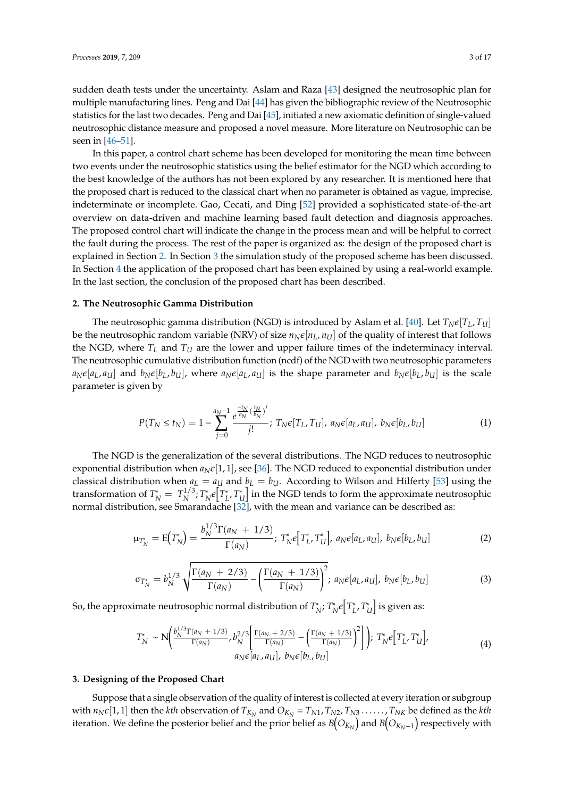sudden death tests under the uncertainty. Aslam and Raza [\[43\]](#page-15-1) designed the neutrosophic plan for multiple manufacturing lines. Peng and Dai [\[44\]](#page-15-2) has given the bibliographic review of the Neutrosophic statistics for the last two decades. Peng and Dai [\[45\]](#page-15-3), initiated a new axiomatic definition of single-valued neutrosophic distance measure and proposed a novel measure. More literature on Neutrosophic can be seen in [\[46–](#page-15-4)[51\]](#page-15-5).

In this paper, a control chart scheme has been developed for monitoring the mean time between two events under the neutrosophic statistics using the belief estimator for the NGD which according to the best knowledge of the authors has not been explored by any researcher. It is mentioned here that the proposed chart is reduced to the classical chart when no parameter is obtained as vague, imprecise, indeterminate or incomplete. Gao, Cecati, and Ding [\[52\]](#page-15-6) provided a sophisticated state-of-the-art overview on data-driven and machine learning based fault detection and diagnosis approaches. The proposed control chart will indicate the change in the process mean and will be helpful to correct the fault during the process. The rest of the paper is organized as: the design of the proposed chart is explained in Section [2.](#page-2-0) In Section [3](#page-2-1) the simulation study of the proposed scheme has been discussed. In Section [4](#page-8-0) the application of the proposed chart has been explained by using a real-world example. In the last section, the conclusion of the proposed chart has been described.

#### <span id="page-2-0"></span>**2. The Neutrosophic Gamma Distribution**

The neutrosophic gamma distribution (NGD) is introduced by Aslam et al. [\[40\]](#page-14-25). Let  $T_N \epsilon [T_L, T_U]$ be the neutrosophic random variable (NRV) of size  $n_N \epsilon [n_L, n_U]$  of the quality of interest that follows the NGD, where  $T_L$  and  $T_U$  are the lower and upper failure times of the indeterminacy interval. The neutrosophic cumulative distribution function (ncdf) of the NGD with two neutrosophic parameters  $a_N \epsilon [a_L, a_U]$  and  $b_N \epsilon [b_L, b_U]$ , where  $a_N \epsilon [a_L, a_U]$  is the shape parameter and  $b_N \epsilon [b_L, b_U]$  is the scale parameter is given by

$$
P(T_N \le t_N) = 1 - \sum_{j=0}^{a_N - 1} \frac{e^{\frac{-t_N}{b_N} (\frac{t_N}{b_N})^j}}{j!}; \ T_N \epsilon[T_L, T_U], \ a_N \epsilon[a_L, a_U], \ b_N \epsilon[b_L, b_U]
$$
(1)

The NGD is the generalization of the several distributions. The NGD reduces to neutrosophic exponential distribution when  $a_N \epsilon[1, 1]$ , see [\[36\]](#page-14-21). The NGD reduced to exponential distribution under classical distribution when  $a_L = a_U$  and  $b_L = b_U$ . According to Wilson and Hilferty [\[53\]](#page-15-7) using the transformation of  $T_N^* = T_N^{1/3}$ <sup>1/3</sup>; *T*<sub>∤</sub> \*
<sub>N</sub>ε $\left[T_{L}^{*}\right]$ *L* , *T* ∗  $\mathcal{U}_U^*$  in the NGD tends to form the approximate neutrosophic normal distribution, see Smarandache [\[32\]](#page-14-17), with the mean and variance can be described as:

$$
\mu_{T_N^*} = \mathcal{E}(T_N^*) = \frac{b_N^{1/3} \Gamma(a_N + 1/3)}{\Gamma(a_N)}; \ T_N^* \epsilon \big[ T_L^* T_U^* \big], \ a_N \epsilon [a_L, a_U], \ b_N \epsilon [b_L, b_U] \tag{2}
$$

$$
\sigma_{T_N^*} = b_N^{1/3} \sqrt{\frac{\Gamma(a_N + 2/3)}{\Gamma(a_N)}} - \left(\frac{\Gamma(a_N + 1/3)}{\Gamma(a_N)}\right)^2; \ a_N \epsilon[a_L, a_U], \ b_N \epsilon[b_L, b_U] \tag{3}
$$

So, the approximate neutrosophic normal distribution of *T* ∗ <sup>\*</sup><sup>\*</sup>*N*<sup>*;*</sup> *T*<sup>\*</sup><sub>*I*</sub> \* *N*<sup>€</sup>*Γ*<sup>\*</sup> *L* , *T* ∗  $\left[\begin{smallmatrix}\ddots\0\end{smallmatrix}\right]$  is given as:

$$
T_N^* \sim N \bigg( \frac{b_N^{1/3} \Gamma(a_N + 1/3)}{\Gamma(a_N)}, b_N^{2/3} \bigg[ \frac{\Gamma(a_N + 2/3)}{\Gamma(a_N)} - \bigg( \frac{\Gamma(a_N + 1/3)}{\Gamma(a_N)} \bigg)^2 \bigg] \bigg); \ T_N^* \epsilon \big[ T_L^* T_U^* \big],
$$
  
\n
$$
a_N \epsilon \big[ a_L, a_U \big], \ b_N \epsilon \big[ b_L, b_U \big]
$$
\n(4)

#### <span id="page-2-1"></span>**3. Designing of the Proposed Chart**

Suppose that a single observation of the quality of interest is collected at every iteration or subgroup with  $n_N \in [1,1]$  then the *kth* observation of  $T_{K_N}$  and  $O_{K_N} = T_{N1}$ ,  $T_{N2}$ ,  $T_{N3}$ , ......,  $T_{NK}$  be defined as the *kth* iteration. We define the posterior belief and the prior belief as  $B\big(O_{K_N}\big)$  and  $B\big(O_{K_N-1}\big)$  respectively with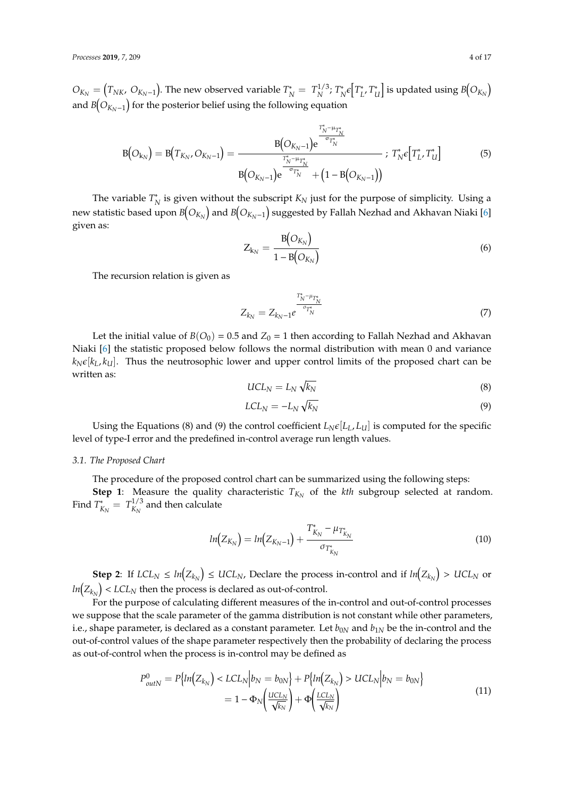$O_{K_N} = (T_{NK}, O_{K_N-1})$ . The new observed variable  $T_N^* = T_N^{1/3}$ <sup>1/3</sup>; *T*<sup>\*</sup> \*<sub>N</sub>€ $T_L^*$ *L* , *T* ∗  $\left[ \begin{smallmatrix} u^* & u^* \end{smallmatrix} \right]$  is updated using  $\mathit{B}\!\left( \mathit{O}_{K_N} \right)$ and  $\mathit{B}\left(O_{K_{N}-1}\right)$  for the posterior belief using the following equation

$$
B(O_{k_N}) = B(T_{K_N}, O_{K_N-1}) = \frac{B(O_{K_N-1})e^{\frac{T_N^* - \mu_{T_N^*}}{\sigma_{T_N^*}}}}{B(O_{K_N-1})e^{\frac{T_N^* - \mu_{T_N^*}}{\sigma_{T_N^*}}} + (1 - B(O_{K_N-1}))}; T_N^* \epsilon[T_L^* T_U^*]
$$
(5)

The variable *T* ∗  $N_N^*$  is given without the subscript  $K_N$  just for the purpose of simplicity. Using a new statistic based upon  $B\!\!\left(O_{K_{N}}\right)$  and  $B\!\!\left(O_{K_{N}-1}\right)$  suggested by Fallah Nezhad and Akhavan Niaki [\[6\]](#page-13-5) given as:

$$
Z_{k_N} = \frac{B(O_{K_N})}{1 - B(O_{K_N})}
$$
\n
$$
\tag{6}
$$

The recursion relation is given as

$$
Z_{k_N} = Z_{k_N - 1} e^{\frac{T_N^* - \mu_{T_N^*}}{\sigma_{T_N^*}}} \tag{7}
$$

Let the initial value of  $B(O_0) = 0.5$  and  $Z_0 = 1$  then according to Fallah Nezhad and Akhavan Niaki [\[6\]](#page-13-5) the statistic proposed below follows the normal distribution with mean 0 and variance  $k_N \epsilon[k_L, k_U]$ . Thus the neutrosophic lower and upper control limits of the proposed chart can be written as:

$$
UCL_N = L_N \sqrt{k_N} \tag{8}
$$

$$
LCL_N = -L_N \sqrt{k_N} \tag{9}
$$

Using the Equations (8) and (9) the control coefficient  $L_N \epsilon [L_L, L_U]$  is computed for the specific level of type-I error and the predefined in-control average run length values.

#### *3.1. The Proposed Chart*

The procedure of the proposed control chart can be summarized using the following steps:

**Step 1**: Measure the quality characteristic  $T_{K_N}$  of the *kth* subgroup selected at random. Find *T* ∗  $K_N^* = T_{K_N}^{1/3}$  $\frac{M}{K_N}$  and then calculate

$$
ln(Z_{K_N}) = ln(Z_{K_N-1}) + \frac{T^*_{K_N} - \mu_{T^*_{K_N}}}{\sigma_{T^*_{K_N}}}
$$
\n(10)

**Step 2**: If  $LCL_N \le ln(Z_{k_N}) \le UCL_N$ , Declare the process in-control and if  $ln(Z_{k_N}) > UCL_N$  or  $ln(Z_{k_N})$  <  $LCL_N$  then the process is declared as out-of-control.

For the purpose of calculating different measures of the in-control and out-of-control processes we suppose that the scale parameter of the gamma distribution is not constant while other parameters, i.e., shape parameter, is declared as a constant parameter. Let  $b_{0N}$  and  $b_{1N}$  be the in-control and the out-of-control values of the shape parameter respectively then the probability of declaring the process as out-of-control when the process is in-control may be defined as

$$
P_{outN}^{0} = P\{ln(Z_{k_N}) < LCL_N|b_N = b_{0N}\} + P\{ln(Z_{k_N}) > UCL_N|b_N = b_{0N}\}\
$$
\n
$$
= 1 - \Phi_N\left(\frac{UCL_N}{\sqrt{k_N}}\right) + \Phi\left(\frac{LCL_N}{\sqrt{k_N}}\right) \tag{11}
$$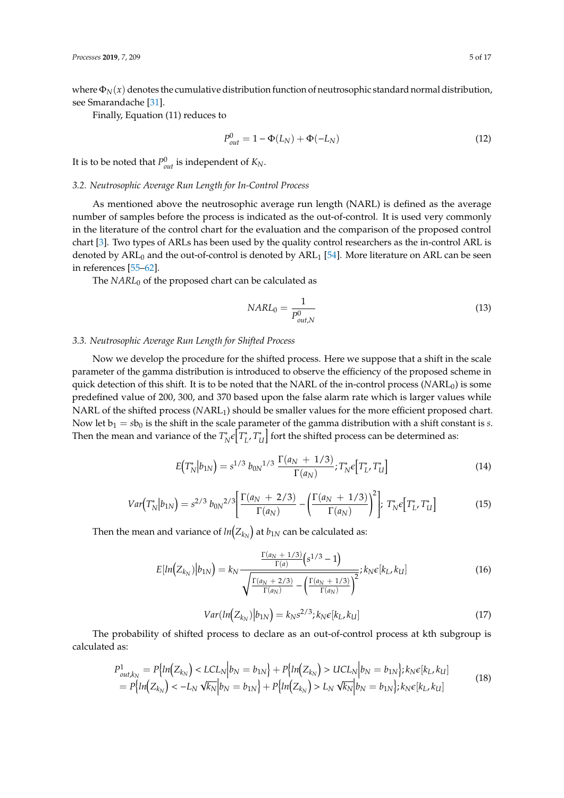where  $\Phi_N(x)$  denotes the cumulative distribution function of neutrosophic standard normal distribution, see Smarandache [\[31\]](#page-14-16).

Finally, Equation (11) reduces to

$$
P_{out}^{0} = 1 - \Phi(L_N) + \Phi(-L_N)
$$
\n(12)

It is to be noted that  $P_{out}^0$  is independent of  $K_N$ .

#### *3.2. Neutrosophic Average Run Length for In-Control Process*

As mentioned above the neutrosophic average run length (NARL) is defined as the average number of samples before the process is indicated as the out-of-control. It is used very commonly in the literature of the control chart for the evaluation and the comparison of the proposed control chart [\[3\]](#page-13-2). Two types of ARLs has been used by the quality control researchers as the in-control ARL is denoted by  $ARL_0$  and the out-of-control is denoted by  $ARL_1$  [\[54\]](#page-15-8). More literature on ARL can be seen in references [\[55–](#page-15-9)[62\]](#page-15-10).

The *NARL*<sup>0</sup> of the proposed chart can be calculated as

$$
NARL_0 = \frac{1}{P_{out,N}^0} \tag{13}
$$

#### *3.3. Neutrosophic Average Run Length for Shifted Process*

Now we develop the procedure for the shifted process. Here we suppose that a shift in the scale parameter of the gamma distribution is introduced to observe the efficiency of the proposed scheme in quick detection of this shift. It is to be noted that the NARL of the in-control process (*NARL*<sub>0</sub>) is some predefined value of 200, 300, and 370 based upon the false alarm rate which is larger values while NARL of the shifted process (NARL<sub>1</sub>) should be smaller values for the more efficient proposed chart. Now let  $b_1 = sb_0$  is the shift in the scale parameter of the gamma distribution with a shift constant is *s*. Then the mean and variance of the  $T^*_{\lambda}$ \* e<sup>[</sup>*T*<sup>\*</sup><sub>*I*</sub> *L* , *T* ∗  $\mathcal{U}_U^*$  fort the shifted process can be determined as:

$$
E\left(T_N^*|b_{1N}\right) = s^{1/3} b_{0N}^{1/3} \frac{\Gamma(a_N + 1/3)}{\Gamma(a_N)}; T_N^* \epsilon \left[T_L^* T_U^*\right]
$$
\n(14)

$$
Var\left(T_N^*\middle|b_{1N}\right) = s^{2/3} b_{0N}^{2/3} \left[ \frac{\Gamma(a_N + 2/3)}{\Gamma(a_N)} - \left(\frac{\Gamma(a_N + 1/3)}{\Gamma(a_N)}\right)^2 \right]; \ T_N^* \epsilon \left[T_L^* T_U^*\right] \tag{15}
$$

Then the mean and variance of  $\textit{ln}\big( Z_{k_{N}} \big)$  at  $\textit{b}_{1N}$  can be calculated as:

$$
E[ln(Z_{k_N})|b_{1N}] = k_N \frac{\frac{\Gamma(a_N + 1/3)}{\Gamma(a)} (s^{1/3} - 1)}{\sqrt{\frac{\Gamma(a_N + 2/3)}{\Gamma(a_N)} - (\frac{\Gamma(a_N + 1/3)}{\Gamma(a_N)})^2}}; k_N \epsilon[k_L, k_U]
$$
(16)

$$
Var(ln(Z_{k_N})|b_{1N}) = k_N s^{2/3}; k_N \epsilon[k_L, k_U]
$$
\n(17)

The probability of shifted process to declare as an out-of-control process at kth subgroup is calculated as:

$$
P_{out,k_N}^1 = P\{ln(Z_{k_N}) < LCL_N|b_N = b_{1N}\} + P\{ln(Z_{k_N}) > UCL_N|b_N = b_{1N}\}; k_N \in [k_L, k_U] \\
= P\{ln(Z_{k_N}) < -L_N \sqrt{k_N}|b_N = b_{1N}\} + P\{ln(Z_{k_N}) > L_N \sqrt{k_N}|b_N = b_{1N}\}; k_N \in [k_L, k_U] \tag{18}
$$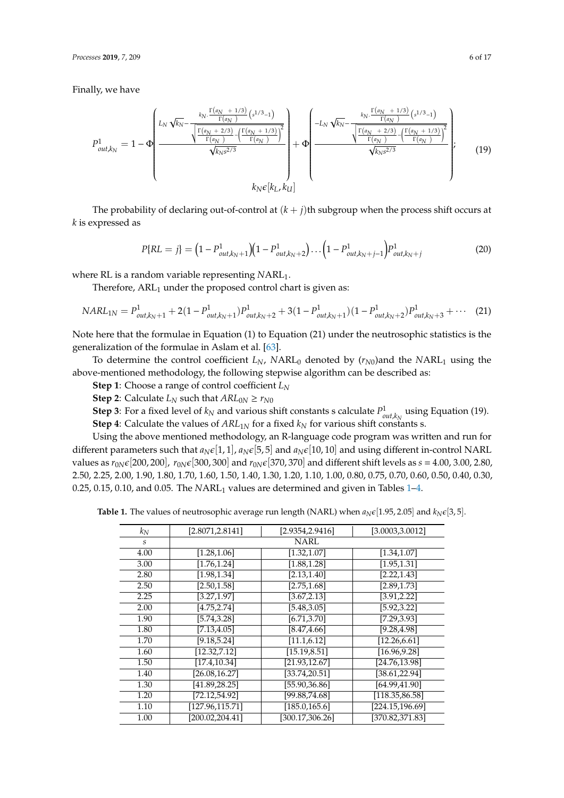Finally, we have

$$
P_{out,k_N}^1 = 1 - \Phi\left(\frac{L_N \sqrt{k_N} - \frac{\kappa_N \cdot \frac{\Gamma(a_N + 1/3)}{\Gamma(a_N)} (s^{1/3} - 1)}{\sqrt{\frac{\Gamma(a_N + 2/3)}{\Gamma(a_N)} - (\frac{\Gamma(a_N + 1/3)}{\Gamma(a_N)})^2}{\sqrt{k_N s^{2/3}}}}}{\kappa_N \epsilon[k_L, k_U]}\right) + \Phi\left(\frac{-L_N \sqrt{k_N} - \frac{k_N \cdot \frac{\Gamma(a_N + 1/3)}{\Gamma(a_N)} (s^{1/3} - 1)}{\sqrt{\frac{\Gamma(a_N + 2/3)}{\Gamma(a_N)} - (\frac{\Gamma(a_N + 1/3)}{\Gamma(a_N)})^2}{\sqrt{k_N s^{2/3}}}}}{\kappa_N \epsilon[k_L, k_U]} \right), \quad (19)
$$

The probability of declaring out-of-control at  $(k + j)$ th subgroup when the process shift occurs at *k* is expressed as

$$
P\{RL = j\} = \left(1 - P_{out,k_N+1}^1\right)\left(1 - P_{out,k_N+2}^1\right)\dots\left(1 - P_{out,k_N+j-1}^1\right)P_{out,k_N+j}^1\tag{20}
$$

where RL is a random variable representing *NARL*<sub>1</sub>.

Therefore,  $ARL<sub>1</sub>$  under the proposed control chart is given as:

$$
NARL_{1N} = P_{out,k_N+1}^1 + 2(1 - P_{out,k_N+1}^1)P_{out,k_N+2}^1 + 3(1 - P_{out,k_N+1}^1)(1 - P_{out,k_N+2}^1)P_{out,k_N+3}^1 + \cdots
$$
 (21)

Note here that the formulae in Equation (1) to Equation (21) under the neutrosophic statistics is the generalization of the formulae in Aslam et al. [\[63\]](#page-15-11).

To determine the control coefficient  $L_N$ ,  $NARL_0$  denoted by  $(r_{N0})$  and the  $NARL_1$  using the above-mentioned methodology, the following stepwise algorithm can be described as:

**Step 1**: Choose a range of control coefficient *L<sup>N</sup>*

**Step 2**: Calculate  $L_N$  such that  $ARL_{0N} \ge r_{N0}$ 

**Step 3**: For a fixed level of  $k_N$  and various shift constants s calculate  $P^1_{out,k_N}$  using Equation (19).

**Step 4**: Calculate the values of  $ARL_{1N}$  for a fixed  $k_N$  for various shift constants s.

Using the above mentioned methodology, an R-language code program was written and run for different parameters such that  $a_N \epsilon[1, 1]$ ,  $a_N \epsilon[5, 5]$  and  $a_N \epsilon[10, 10]$  and using different in-control NARL values as  $r_{0N}\epsilon$ [200, 200],  $r_{0N}\epsilon$ [300, 300] and  $r_{0N}\epsilon$ [370, 370] and different shift levels as  $s = 4.00$ , 3.00, 2.80, 2.50, 2.25, 2.00, 1.90, 1.80, 1.70, 1.60, 1.50, 1.40, 1.30, 1.20, 1.10, 1.00, 0.80, 0.75, 0.70, 0.60, 0.50, 0.40, 0.30, 0.25, 0.[1](#page-6-0)5, 0.10, and 0.05. The *NARL*<sub>1</sub> values are determined and given in Tables 1[–4.](#page-7-0)

**Table 1.** The values of neutrosophic average run length (NARL) when  $a_N \epsilon$  [1.95, 2.05] and  $k_N \epsilon$  [3, 5].

| $k_N$                       | [2.8071, 2.8141] | [2.9354,2.9416]  | [3.0003,3.0012]          |
|-----------------------------|------------------|------------------|--------------------------|
| $\mathcal{S}_{\mathcal{S}}$ |                  | <b>NARL</b>      |                          |
| 4.00                        | [1.28, 1.06]     | [1.32, 1.07]     | [1.34, 1.07]             |
| 3.00                        | [1.76, 1.24]     | [1.88, 1.28]     | [1.95, 1.31]             |
| 2.80                        | [1.98, 1.34]     | [2.13, 1.40]     | [2.22, 1.43]             |
| 2.50                        | [2.50, 1.58]     | [2.75, 1.68]     | [2.89, 1.73]             |
| 2.25                        | [3.27, 1.97]     | [3.67, 2.13]     | [3.91, 2.22]             |
| 2.00                        | [4.75, 2.74]     | [5.48, 3.05]     | $[5.92,\overline{3.22}]$ |
| 1.90                        | [5.74, 3.28]     | [6.71, 3.70]     | [7.29, 3.93]             |
| 1.80                        | [7.13, 4.05]     | [8.47, 4.66]     | [9.28, 4.98]             |
| 1.70                        | [9.18, 5.24]     | [11.1, 6.12]     | [12.26, 6.61]            |
| 1.60                        | [12.32, 7.12]    | [15.19, 8.51]    | [16.96, 9.28]            |
| 1.50                        | [17.4, 10.34]    | [21.93, 12.67]   | [24.76,13.98]            |
| 1.40                        | [26.08, 16.27]   | [33.74, 20.51]   | [38.61, 22.94]           |
| 1.30                        | [41.89, 28.25]   | [55.90,36.86]    | [64.99, 41.90]           |
| 1.20                        | [72.12, 54.92]   | [99.88,74.68]    | [118.35, 86.58]          |
| 1.10                        | [127.96, 115.71] | [185.0, 165.6]   | [224.15, 196.69]         |
| 1.00                        | [200.02, 204.41] | [300.17, 306.26] | [370.82, 371.83]         |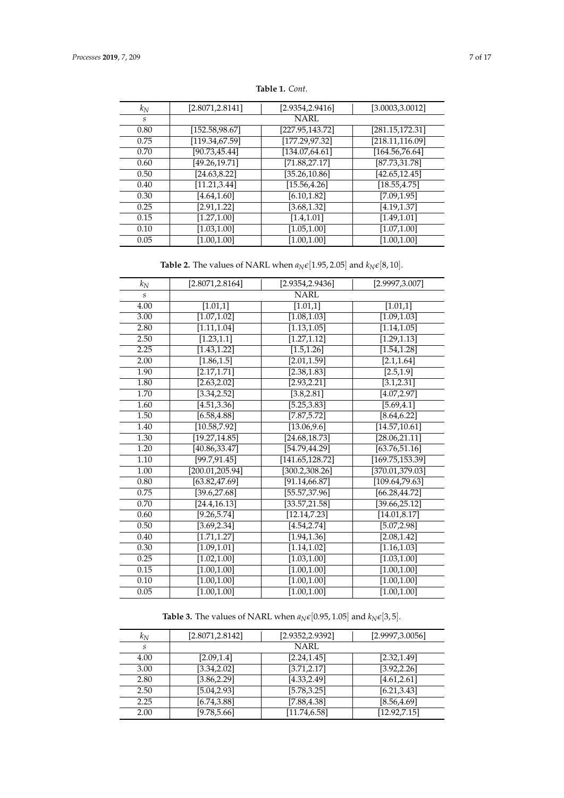<span id="page-6-0"></span>

| $k_N$            | [2.8071, 2.8141] | [2.9354,2.9416] | [3.0003, 3.0012] |
|------------------|------------------|-----------------|------------------|
| $\boldsymbol{S}$ |                  | <b>NARL</b>     |                  |
| 0.80             | [152.58, 98.67]  | [227.95,143.72] | [281.15, 172.31] |
| 0.75             | [119.34, 67.59]  | [177.29, 97.32] | [218.11, 116.09] |
| 0.70             | [90.73, 45.44]   | [134.07, 64.61] | [164.56,76.64]   |
| 0.60             | [49.26, 19.71]   | [71.88, 27.17]  | [87.73, 31.78]   |
| 0.50             | [24.63, 8.22]    | [35.26,10.86]   | [42.65, 12.45]   |
| 0.40             | [11.21, 3.44]    | [15.56, 4.26]   | [18.55, 4.75]    |
| 0.30             | [4.64, 1.60]     | [6.10, 1.82]    | [7.09, 1.95]     |
| 0.25             | [2.91, 1.22]     | [3.68, 1.32]    | [4.19, 1.37]     |
| 0.15             | [1.27, 1.00]     | [1.4, 1.01]     | [1.49, 1.01]     |
| 0.10             | [1.03, 1.00]     | [1.05, 1.00]    | [1.07, 1.00]     |
| 0.05             | [1.00, 1.00]     | [1.00, 1.00]    | [1.00, 1.00]     |

**Table 1.** *Cont.*

**Table 2.** The values of NARL when  $a_N \epsilon$  [1.95, 2.05] and  $k_N \epsilon$  [8, 10].

| $k_N$ | [2.8071, 2.8164] | [2.9354, 2.9436]           | [2.9997, 3.007]        |  |  |
|-------|------------------|----------------------------|------------------------|--|--|
| S     |                  | <b>NARL</b>                |                        |  |  |
| 4.00  | [1.01, 1]        | [1.01,1]                   | [1.01,1]               |  |  |
| 3.00  | [1.07, 1.02]     | [1.08, 1.03]               | [1.09, 1.03]           |  |  |
| 2.80  | [1.11, 1.04]     | [1.13, 1.05]               | [1.14, 1.05]           |  |  |
| 2.50  | [1.23, 1.1]      | [1.27, 1.12]               | [1.29, 1.13]           |  |  |
| 2.25  | [1.43, 1.22]     | [1.5, 1.26]                | [1.54, 1.28]           |  |  |
| 2.00  | [1.86, 1.5]      | [2.01, 1.59]               | [2.1, 1.64]            |  |  |
| 1.90  | [2.17, 1.71]     | [2.38, 1.83]               | $[2.5,1.\overline{9}]$ |  |  |
| 1.80  | [2.63, 2.02]     | [2.93, 2.21]               | [3.1, 2.31]            |  |  |
| 1.70  | [3.34, 2.52]     | [3.8, 2.81]                | [4.07, 2.97]           |  |  |
| 1.60  | [4.51, 3.36]     | [5.25, 3.83]               | [5.69, 4.1]            |  |  |
| 1.50  | [6.58, 4.88]     | $[7.87, 5.72]$             | [8.64, 6.22]           |  |  |
| 1.40  | [10.58, 7.92]    | [13.06, 9.6]               | [14.57, 10.61]         |  |  |
| 1.30  | [19.27, 14.85]   | $[24.\overline{68,18.73}]$ | [28.06, 21.11]         |  |  |
| 1.20  | [40.86, 33.47]   | [54.79,44.29]              | [63.76, 51.16]         |  |  |
| 1.10  | [99.7, 91.45]    | [141.65, 128.72]           | [169.75, 153.39]       |  |  |
| 1.00  | [200.01, 205.94] | [300.2, 308.26]            | [370.01,379.03]        |  |  |
| 0.80  | [63.82, 47.69]   | [91.14, 66.87]             | [109.64, 79.63]        |  |  |
| 0.75  | [39.6, 27.68]    | [55.57, 37.96]             | [66.28, 44.72]         |  |  |
| 0.70  | [24.4, 16.13]    | [33.57, 21.58]             | [39.66, 25.12]         |  |  |
| 0.60  | [9.26, 5.74]     | [12.14, 7.23]              | [14.01, 8.17]          |  |  |
| 0.50  | [3.69, 2.34]     | [4.54, 2.74]               | [5.07, 2.98]           |  |  |
| 0.40  | [1.71, 1.27]     | [1.94, 1.36]               | [2.08, 1.42]           |  |  |
| 0.30  | [1.09, 1.01]     | [1.14, 1.02]               | [1.16, 1.03]           |  |  |
| 0.25  | [1.02, 1.00]     | [1.03, 1.00]               | [1.03, 1.00]           |  |  |
| 0.15  | [1.00, 1.00]     | [1.00, 1.00]               | [1.00, 1.00]           |  |  |
| 0.10  | [1.00, 1.00]     | [1.00, 1.00]               | [1.00, 1.00]           |  |  |
| 0.05  | [1.00, 1.00]     | [1.00, 1.00]               | [1.00, 1.00]           |  |  |

**Table 3.** The values of NARL when  $a_N \epsilon [0.95, 1.05]$  and  $k_N \epsilon [3, 5]$ .

| $k_N$ | [2.8071, 2.8142] | [2.9352, 2.9392] | [2.9997, 3.0056] |
|-------|------------------|------------------|------------------|
| S     |                  | NARL             |                  |
| 4.00  | [2.09, 1.4]      | [2.24, 1.45]     | [2.32, 1.49]     |
| 3.00  | [3.34, 2.02]     | [3.71, 2.17]     | [3.92, 2.26]     |
| 2.80  | [3.86, 2.29]     | [4.33, 2.49]     | [4.61, 2.61]     |
| 2.50  | [5.04, 2.93]     | [5.78, 3.25]     | [6.21, 3.43]     |
| 2.25  | [6.74, 3.88]     | [7.88, 4.38]     | [8.56, 4.69]     |
| 2.00  | [9.78, 5.66]     | [11.74, 6.58]    | [12.92, 7.15]    |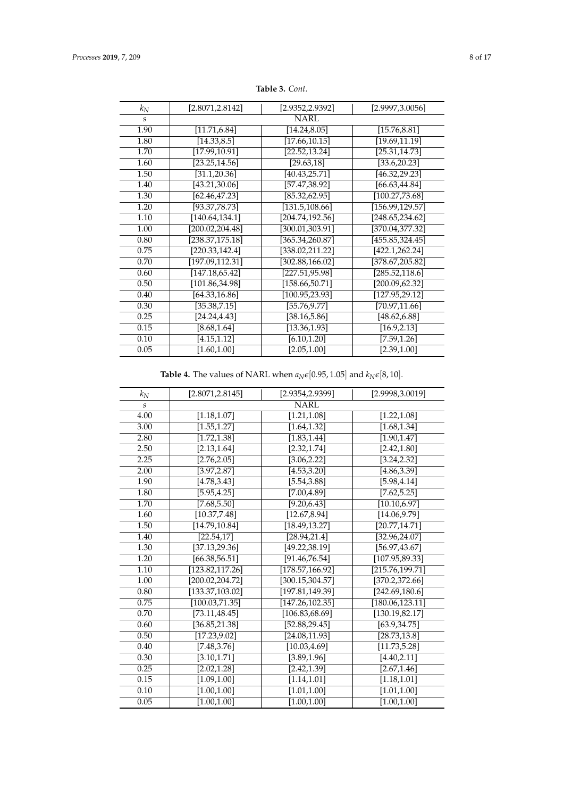| $k_N$ | [2.8071,2.8142]  | [2.9352,2.9392]  | [2.9997,3.0056]  |  |  |
|-------|------------------|------------------|------------------|--|--|
| S     |                  | <b>NARL</b>      |                  |  |  |
| 1.90  | [11.71, 6.84]    | [14.24, 8.05]    | [15.76, 8.81]    |  |  |
| 1.80  | [14.33, 8.5]     | [17.66, 10.15]   | [19.69, 11.19]   |  |  |
| 1.70  | [17.99, 10.91]   | [22.52, 13.24]   | [25.31, 14.73]   |  |  |
| 1.60  | [23.25, 14.56]   | [29.63, 18]      | [33.6,20.23]     |  |  |
| 1.50  | [31.1, 20.36]    | [40.43, 25.71]   | [46.32,29.23]    |  |  |
| 1.40  | [43.21,30.06]    | [57.47,38.92]    | [66.63,44.84]    |  |  |
| 1.30  | [62.46,47.23]    | [85.32,62.95]    | [100.27, 73.68]  |  |  |
| 1.20  | [93.37,78.73]    | [131.5, 108.66]  | [156.99, 129.57] |  |  |
| 1.10  | [140.64, 134.1]  | [204.74,192.56]  | [248.65, 234.62] |  |  |
| 1.00  | [200.02,204.48]  | [300.01,303.91]  | [370.04,377.32]  |  |  |
| 0.80  | [238.37,175.18]  | [365.34,260.87]  | [455.85,324.45]  |  |  |
| 0.75  | [220.33, 142.4]  | [338.02,211.22]  | [422.1,262.24]   |  |  |
| 0.70  | [197.09, 112.31] | [302.88, 166.02] | [378.67,205.82]  |  |  |
| 0.60  | [147.18, 65.42]  | [227.51,95.98]   | [285.52, 118.6]  |  |  |
| 0.50  | [101.86, 34.98]  | [158.66, 50.71]  | [200.09,62.32]   |  |  |
| 0.40  | [64.33, 16.86]   | [100.95, 23.93]  | [127.95, 29.12]  |  |  |
| 0.30  | [35.38, 7.15]    | [55.76,9.77]     | [70.97,11.66]    |  |  |
| 0.25  | [24.24, 4.43]    | [38.16, 5.86]    | [48.62, 6.88]    |  |  |
| 0.15  | [8.68, 1.64]     | [13.36,1.93]     | [16.9, 2.13]     |  |  |
| 0.10  | [4.15, 1.12]     | [6.10, 1.20]     | [7.59, 1.26]     |  |  |
| 0.05  | [1.60, 1.00]     | [2.05, 1.00]     | [2.39, 1.00]     |  |  |

**Table 3.** *Cont.*

**Table 4.** The values of NARL when  $a_N \epsilon [0.95, 1.05]$  and  $k_N \epsilon [8, 10]$ .

<span id="page-7-0"></span>

| $k_N$                       | [2.8071, 2.8145]         | [2.9354,2.9399]          | [2.9998, 3.0019]            |  |
|-----------------------------|--------------------------|--------------------------|-----------------------------|--|
| $\mathcal{S}_{\mathcal{S}}$ | <b>NARL</b>              |                          |                             |  |
| 4.00                        | [1.18, 1.07]             | [1.21, 1.08]             | [1.22, 1.08]                |  |
| 3.00                        | [1.55, 1.27]             | [1.64, 1.32]             | [1.68, 1.34]                |  |
| 2.80                        | [1.72, 1.38]             | $[1.\overline{83,1.44}]$ | [1.90, 1.47]                |  |
| 2.50                        | $[2.\overline{13,1.64}]$ | [2.32, 1.74]             | [2.42, 1.80]                |  |
| 2.25                        | [2.76, 2.05]             | [3.06, 2.22]             | [3.24, 2.32]                |  |
| 2.00                        | [3.97, 2.87]             | [4.53, 3.20]             | [4.86, 3.39]                |  |
| 1.90                        | $\overline{[4.78,3.43]}$ | [5.54, 3.88]             | [5.98, 4.14]                |  |
| 1.80                        | [5.95, 4.25]             | [7.00, 4.89]             | [7.62, 5.25]                |  |
| 1.70                        | [7.68, 5.50]             | [9.20, 6.43]             | [10.10, 6.97]               |  |
| 1.60                        | [10.37, 7.48]            | [12.67, 8.94]            | [14.06, 9.79]               |  |
| 1.50                        | [14.79, 10.84]           | [18.49, 13.27]           | [20.77, 14.71]              |  |
| 1.40                        | $\overline{[22.54,17]}$  | [28.94, 21.4]            | [32.96, 24.07]              |  |
| 1.30                        | [37.13, 29.36]           | [49.22, 38.19]           | [56.97, 43.67]              |  |
| 1.20                        | [66.38, 56.51]           | [91.46, 76.54]           | $\overline{[107.95,89.33]}$ |  |
| 1.10                        | [123.82, 117.26]         | [178.57, 166.92]         | [215.76, 199.71]            |  |
| 1.00                        | [200.02, 204.72]         | [300.15, 304.57]         | [370.2, 372.66]             |  |
| 0.80                        | [133.37, 103.02]         | [197.81, 149.39]         | [242.69, 180.6]             |  |
| 0.75                        | [100.03, 71.35]          | [147.26, 102.35]         | [180.06, 123.11]            |  |
| 0.70                        | [73.11, 48.45]           | [106.83, 68.69]          | [130.19, 82.17]             |  |
| 0.60                        | [36.85, 21.38]           | [52.88, 29.45]           | [63.9, 34.75]               |  |
| 0.50                        | [17.23, 9.02]            | [24.08, 11.93]           | [28.73, 13.8]               |  |
| 0.40                        | [7.48, 3.76]             | [10.03, 4.69]            | [11.73, 5.28]               |  |
| 0.30                        | [3.10, 1.71]             | [3.89, 1.96]             | [4.40, 2.11]                |  |
| 0.25                        | [2.02, 1.28]             | [2.42, 1.39]             | [2.67, 1.46]                |  |
| 0.15                        | [1.09, 1.00]             | [1.14, 1.01]             | [1.18, 1.01]                |  |
| 0.10                        | [1.00, 1.00]             | [1.01, 1.00]             | [1.01, 1.00]                |  |
| 0.05                        | [1.00, 1.00]             | [1.00, 1.00]             | [1.00, 1.00]                |  |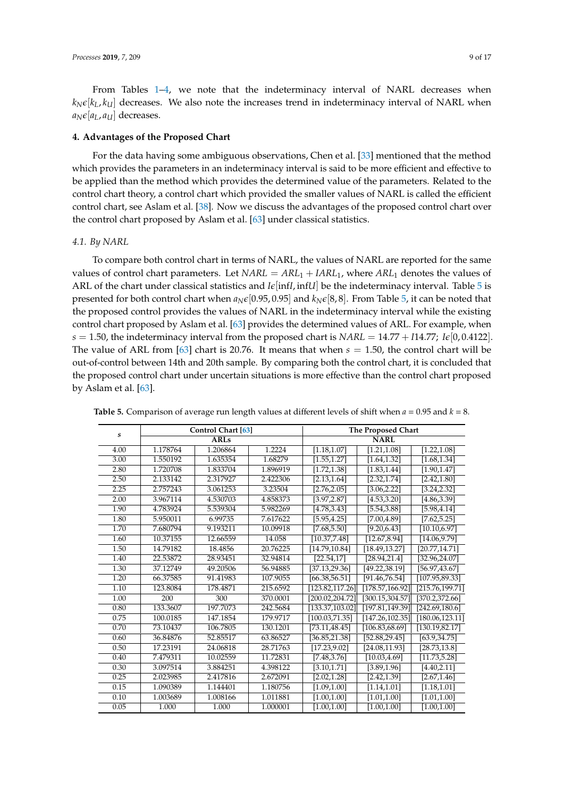From Tables [1](#page-6-0)[–4,](#page-7-0) we note that the indeterminacy interval of NARL decreases when  $k_N \epsilon[k_L, k_l]$  decreases. We also note the increases trend in indeterminacy interval of NARL when  $a_N \epsilon [a_L, a_U]$  decreases.

#### <span id="page-8-0"></span>**4. Advantages of the Proposed Chart**

For the data having some ambiguous observations, Chen et al. [\[33\]](#page-14-18) mentioned that the method which provides the parameters in an indeterminacy interval is said to be more efficient and effective to be applied than the method which provides the determined value of the parameters. Related to the control chart theory, a control chart which provided the smaller values of NARL is called the efficient control chart, see Aslam et al. [\[38\]](#page-14-23). Now we discuss the advantages of the proposed control chart over the control chart proposed by Aslam et al. [\[63\]](#page-15-11) under classical statistics.

#### *4.1. By NARL*

To compare both control chart in terms of NARL, the values of NARL are reported for the same values of control chart parameters. Let  $NARL = ARL<sub>1</sub> + IARL<sub>1</sub>$ , where  $ARL<sub>1</sub>$  denotes the values of ARL of the chart under classical statistics and  $I\epsilon$ [inf*I*, inf*U*] be the indeterminacy interval. Table [5](#page-8-1) is presented for both control chart when  $a_N \in [0.95, 0.95]$  $a_N \in [0.95, 0.95]$  $a_N \in [0.95, 0.95]$  and  $k_N \in [8, 8]$ . From Table 5, it can be noted that the proposed control provides the values of NARL in the indeterminacy interval while the existing control chart proposed by Aslam et al. [\[63\]](#page-15-11) provides the determined values of ARL. For example, when  $s = 1.50$ , the indeterminacy interval from the proposed chart is *NARL* = 14.77 + *I*14.77; *I* $\epsilon$ [0, 0.4122]. The value of ARL from [\[63\]](#page-15-11) chart is 20.76. It means that when *s* = 1.50, the control chart will be out-of-control between 14th and 20th sample. By comparing both the control chart, it is concluded that the proposed control chart under uncertain situations is more effective than the control chart proposed by Aslam et al. [\[63\]](#page-15-11).

| $\boldsymbol{s}$ |             | Control Chart [63] |          | The Proposed Chart |                            |                  |
|------------------|-------------|--------------------|----------|--------------------|----------------------------|------------------|
|                  | <b>ARLs</b> |                    |          | <b>NARL</b>        |                            |                  |
| 4.00             | 1.178764    | 1.206864           | 1.2224   | [1.18, 1.07]       | [1.21, 1.08]               | [1.22, 1.08]     |
| 3.00             | 1.550192    | 1.635354           | 1.68279  | [1.55, 1.27]       | [1.64, 1.32]               | [1.68, 1.34]     |
| 2.80             | 1.720708    | 1.833704           | 1.896919 | [1.72, 1.38]       | [1.83, 1.44]               | [1.90, 1.47]     |
| 2.50             | 2.133142    | 2.317927           | 2.422306 | [2.13, 1.64]       | [2.32, 1.74]               | [2.42, 1.80]     |
| 2.25             | 2.757243    | 3.061253           | 3.23504  | [2.76, 2.05]       | [3.06, 2.22]               | [3.24, 2.32]     |
| 2.00             | 3.967114    | 4.530703           | 4.858373 | [3.97, 2.87]       | [4.53, 3.20]               | [4.86, 3.39]     |
| 1.90             | 4.783924    | 5.539304           | 5.982269 | $[4.78, 3.43]$     | [5.54, 3.88]               | [5.98, 4.14]     |
| 1.80             | 5.950011    | 6.99735            | 7.617622 | [5.95, 4.25]       | [7.00, 4.89]               | $[7.62, 5.25]$   |
| 1.70             | 7.680794    | 9.193211           | 10.09918 | [7.68, 5.50]       | [9.20, 6.43]               | [10.10, 6.97]    |
| 1.60             | 10.37155    | 12.66559           | 14.058   | [10.37, 7.48]      | [12.67, 8.94]              | [14.06, 9.79]    |
| 1.50             | 14.79182    | 18.4856            | 20.76225 | [14.79, 10.84]     | [18.49, 13.27]             | [20.77, 14.71]   |
| 1.40             | 22.53872    | 28.93451           | 32.94814 | [22.54, 17]        | [28.94, 21.4]              | [32.96, 24.07]   |
| 1.30             | 37.12749    | 49.20506           | 56.94885 | [37.13, 29.36]     | $\overline{[49.22,38.19]}$ | [56.97, 43.67]   |
| 1.20             | 66.37585    | 91.41983           | 107.9055 | [66.38, 56.51]     | [91.46, 76.54]             | [107.95, 89.33]  |
| 1.10             | 123.8084    | 178.4871           | 215.6592 | [123.82, 117.26]   | [178.57, 166.92]           | [215.76, 199.71] |
| 1.00             | 200         | 300                | 370.0001 | [200.02,204.72]    | [300.15, 304.57]           | [370.2, 372.66]  |
| 0.80             | 133.3607    | 197.7073           | 242.5684 | [133.37, 103.02]   | [197.81, 149.39]           | [242.69, 180.6]  |
| 0.75             | 100.0185    | 147.1854           | 179.9717 | [100.03, 71.35]    | [147.26, 102.35]           | [180.06, 123.11] |
| 0.70             | 73.10437    | 106.7805           | 130.1201 | [73.11, 48.45]     | [106.83, 68.69]            | [130.19, 82.17]  |
| 0.60             | 36.84876    | 52.85517           | 63.86527 | [36.85, 21.38]     | [52.88, 29.45]             | [63.9, 34.75]    |
| 0.50             | 17.23191    | 24.06818           | 28.71763 | [17.23, 9.02]      | [24.08, 11.93]             | [28.73, 13.8]    |
| 0.40             | 7.479311    | 10.02559           | 11.72831 | [7.48, 3.76]       | [10.03, 4.69]              | [11.73, 5.28]    |
| 0.30             | 3.097514    | 3.884251           | 4.398122 | [3.10, 1.71]       | [3.89, 1.96]               | [4.40, 2.11]     |
| 0.25             | 2.023985    | 2.417816           | 2.672091 | [2.02, 1.28]       | $[2.42, 1.39]$             | [2.67, 1.46]     |
| 0.15             | 1.090389    | 1.144401           | 1.180756 | [1.09, 1.00]       | [1.14, 1.01]               | [1.18, 1.01]     |
| 0.10             | 1.003689    | 1.008166           | 1.011881 | [1.00, 1.00]       | [1.01, 1.00]               | [1.01, 1.00]     |
| 0.05             | 1.000       | 1.000              | 1.000001 | [1.00, 1.00]       | [1.00, 1.00]               | [1.00, 1.00]     |

<span id="page-8-1"></span>**Table 5.** Comparison of average run length values at different levels of shift when  $a = 0.95$  and  $k = 8$ .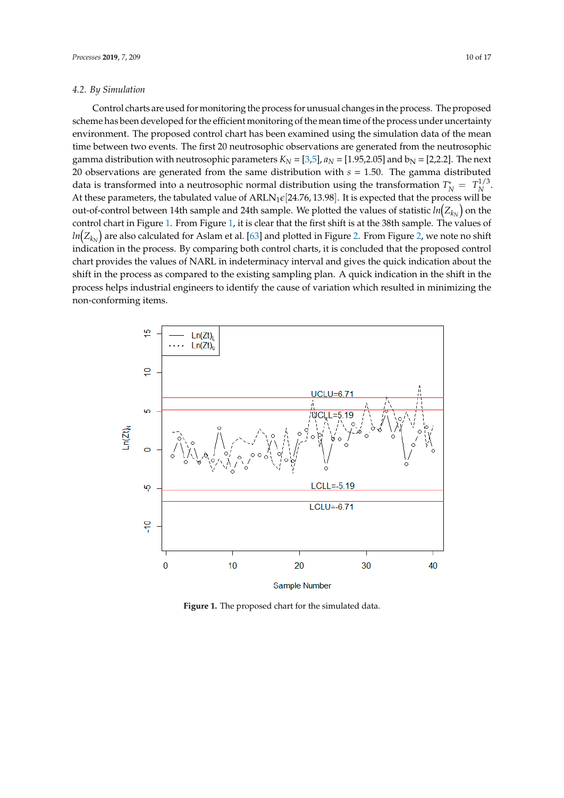#### *4.2. By Simulation* Control charts are used for monitoring the process for unusual changes in the process. The proposed scheme has been developed for the efficient monotoning of the mean time of the mean time of the process

Control charts are used for monitoring the process for unusual changes in the process. The proposed scheme has been developed for the efficient monitoring of the mean time of the process under uncertainty environment. The proposed control chart has been examined using the simulation data of the mean time between two events. The first 20 neutrosophic observations are generated from the neutrosophic gamma distributio[n](#page-13-2) with n[eu](#page-13-4)trosophic parameters  $K_N = [3,5]$ ,  $a_N = [1.95,2.05]$  and  $b_N = [2,2.2]$ . The next  $\overrightarrow{20}$  observations are generated from the same distribution with  $s = 1.50$ . The gamma distributed data is transformed into a neutrosophic normal distribution using the transformation  $T_N^* = T_N^{1/3}$ ta is transformed into a neutrosophic normal distribution using the transformation  $T_N^* = T_N^{1/3}$ . At these parameters, the tabulated value of  $ARLN_1\varepsilon[24.76, 13.98]$ . It is expected that the process will be out-of-control between 14th sample and 24th sample. We plotted the values of statistic  $ln(Z_{k_N})$  on the control chart in [Fig](#page-9-0)ure 1. From Figure 1, it is clear that the first shift is at the 38th sample. The values of  $ln(Z_{k_N})$  are also calculated for Aslam et al. [\[63\]](#page-15-11) and plotted in Figure 2. From Figure 2, we note no shift indication in the process. By comparing both control charts, it is concluded that the proposed control chart provides the values of NARL in indeterminacy interval and gives the quick indication about the shift in the process as compared to the existing sampling plan. A quick indication in the shift in the process helps industrial engineers to identify the cause of variation which resulted in minimizing the non-conforming items.

<span id="page-9-0"></span>

**Figure 1.** The proposed chart for the simulated data.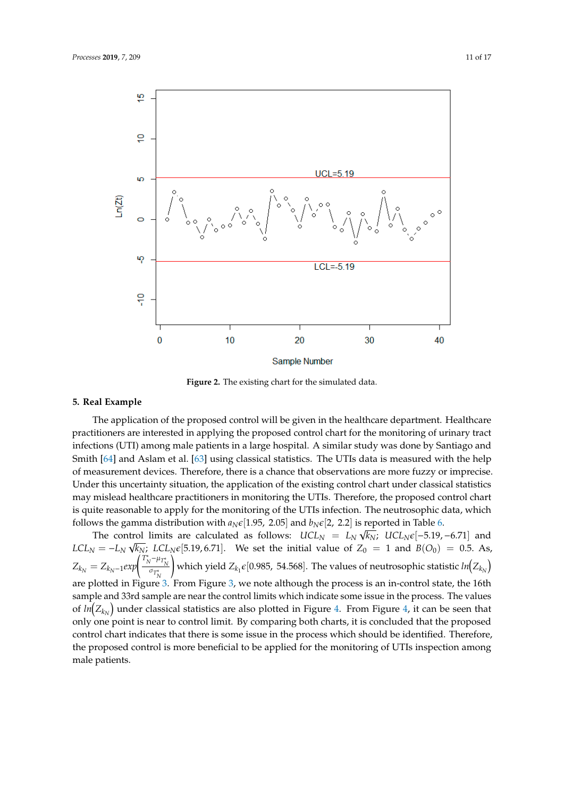<span id="page-10-0"></span>

**Figure 2.** The existing chart for the simulated data.

### **5. Real Example**

The application of the proposed control will be given in the healthcare department. Healthcare practitioners are interested in applying the proposed control chart for the monitoring of urinary tract infections (UTI) among male patients in a large hospital. A similar study was done by Santiago and Smith [\[64\]](#page-15-12) and Aslam et al. [\[63\]](#page-15-11) using classical statistics. The UTIs data is measured with the help of measurement devices. Therefore, there is a chance that observations are more fuzzy or imprecise. Under this uncertainty situation, the application of the existing control chart under classical statistics may mislead healthcare practitioners in monitoring the UTIs. Therefore, the proposed control chart is quite reasonable to apply for the monitoring of the UTIs infection. The neutrosophic data, which follows the gamma distribution with  $a_N \epsilon$ [1.95, 2.05] and  $b_N \epsilon$ [2, 2.2] is reported in Table [6.](#page-11-0)

The control limits are calculated as follows:  $UCL_N = L_N \sqrt{k_N}$ ;  $UCL_N \epsilon[-5.19, -6.71]$  and  $LCL_N = -L_N \sqrt{k_N}$ ;  $LCL_N \epsilon [5.19, 6.71]$ . We set the initial value of  $Z_0 = 1$  and  $B(O_0) = 0.5$ . As,  $Z_{k_N} = Z_{k_N-1} exp \left( \frac{T_N^* - \mu_{T_N^*}}{\sigma_{T_N^*}} \right)$ ! which yield  $Z_{k_1} \epsilon [0.985, 54.568]$ . The values of neutrosophic statistic  $ln \Bigl(Z_{k_N}\Bigr)$ are plotted in Figure [3.](#page-12-0) From Figure [3,](#page-12-0) we note although the process is an in-control state, the 16th sample and 33rd sample are near the control limits which indicate some issue in the process. The values of  $ln(Z_{k_N})$  under classical statistics are also plotted in Figure [4.](#page-12-1) From Figure [4,](#page-12-1) it can be seen that only one point is near to control limit. By comparing both charts, it is concluded that the proposed control chart indicates that there is some issue in the process which should be identified. Therefore, the proposed control is more beneficial to be applied for the monitoring of UTIs inspection among male patients.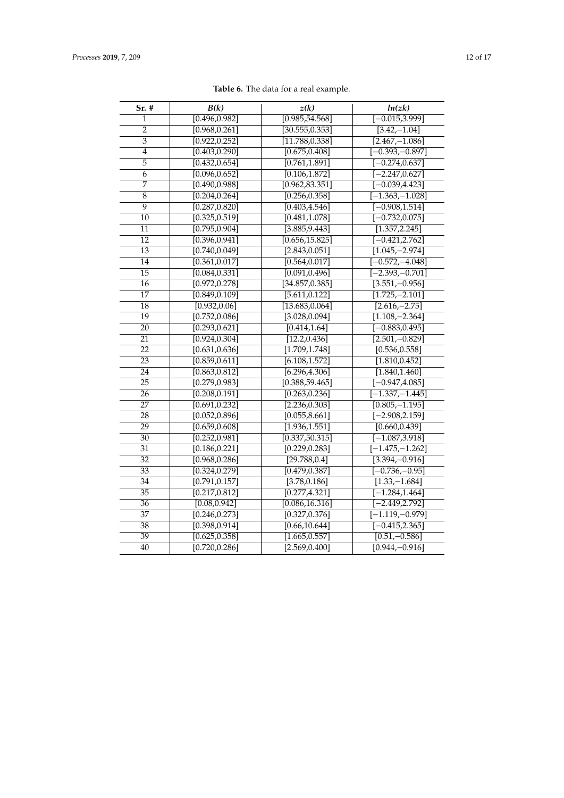<span id="page-11-0"></span>

| Sr. #           | B(k)                        | z(k)                        | ln(zk)                      |  |
|-----------------|-----------------------------|-----------------------------|-----------------------------|--|
| 1               | [0.496, 0.982]              | [0.985, 54.568]             | $[-0.015, 3.999]$           |  |
| $\overline{2}$  | [0.968, 0.261]              | [30.555, 0.353]             | $\overline{[3.42,-1.04]}$   |  |
| 3               | [0.922, 0.252]              | [11.788, 0.338]             | $[2.467,-1.086]$            |  |
| $\overline{4}$  | [0.403, 0.290]              | [0.675, 0.408]              | $[-0.393,-0.897]$           |  |
| 5               | [0.432, 0.654]              | [0.761, 1.891]              | $[-0.274, 0.637]$           |  |
| 6               | [0.096, 0.652]              | [0.106, 1.872]              | $[-2.247, 0.627]$           |  |
| 7               | [0.490, 0.988]              | [0.962, 83.351]             | $[-0.039, 4.423]$           |  |
| $\overline{8}$  | [0.204, 0.264]              | [0.256, 0.358]              | $[-1.363, -1.028]$          |  |
| $\overline{9}$  | [0.287, 0.820]              | [0.403, 4.546]              | $[-0.908, 1.514]$           |  |
| 10              | [0.325, 0.519]              | [0.481, 1.078]              | $[-0.732, 0.075]$           |  |
| 11              | [0.795, 0.904]              | [3.885, 9.443]              | [1.357, 2.245]              |  |
| 12              | [0.396, 0.941]              | [0.656, 15.825]             | $[-0.421, 2.762]$           |  |
| $\overline{13}$ | [0.740, 0.049]              | [2.843, 0.051]              | $[1.045, -2.974]$           |  |
| 14              | [0.361, 0.017]              | [0.564, 0.017]              | $[-0.572, -4.048]$          |  |
| $\overline{15}$ | [0.084, 0.331]              | [0.091, 0.496]              | $[-2.393,-0.701]$           |  |
| 16              | [0.972, 0.278]              | [34.857, 0.385]             | $[3.551,-0.956]$            |  |
| 17              | [0.849, 0.109]              | [5.611, 0.122]              | $[1.725,-2.101]$            |  |
| $\overline{18}$ | [0.932, 0.06]               | [13.683, 0.064]             | $\overline{[2.616,-2.75]}$  |  |
| 19              | [0.752, 0.086]              | [3.028, 0.094]              | $[1.108, -2.364]$           |  |
| 20              | [0.293, 0.621]              | [0.414, 1.64]               | $[-0.883, 0.495]$           |  |
| 21              | [0.924, 0.304]              | [12.2, 0.436]               | $[2.501,-0.829]$            |  |
| 22              | [0.631, 0.636]              | [1.709, 1.748]              | [0.536, 0.558]              |  |
| $\overline{23}$ | [0.859, 0.611]              | $\overline{[6.108, 1.572]}$ | [1.810, 0.452]              |  |
| 24              | [0.863, 0.812]              | [6.296, 4.306]              | [1.840, 1.460]              |  |
| $\overline{25}$ | [0.279, 0.983]              | [0.388, 59.465]             | $[-0.947, 4.085]$           |  |
| 26              | [0.208, 0.191]              | [0.263, 0.236]              | $[-1.337, -1.445]$          |  |
| 27              | [0.691, 0.232]              | [2.236, 0.303]              | $\overline{[0.805,-1.195]}$ |  |
| 28              | [0.052, 0.896]              | [0.055, 8.661]              | $[-2.908, 2.159]$           |  |
| 29              | [0.659, 0.608]              | [1.936, 1.551]              | [0.660, 0.439]              |  |
| 30              | [0.252, 0.981]              | [0.337, 50.315]             | $[-1.087, 3.918]$           |  |
| 31              | $\overline{[0.186, 0.221]}$ | [0.229, 0.283]              | $[-1.475,-1.262]$           |  |
| $\overline{32}$ | [0.968, 0.286]              | [29.788, 0.4]               | $[3.394,-0.916]$            |  |
| 33              | [0.324, 0.279]              | [0.479, 0.387]              | $[-0.736,-0.95]$            |  |
| 34              | [0.791, 0.157]              | [3.78, 0.186]               | $[1.33,-1.684]$             |  |
| $\overline{35}$ | [0.217, 0.812]              | [0.277, 4.321]              | $[-1.284, 1.464]$           |  |
| 36              | [0.08, 0.942]               | [0.086, 16.316]             | $[-2.449, 2.792]$           |  |
| $\overline{37}$ | [0.246, 0.273]              | [0.327, 0.376]              | $[-1.119,-0.979]$           |  |
| $\overline{38}$ | [0.398, 0.914]              | [0.66, 10.644]              | $[-0.415, 2.365]$           |  |
| $\overline{39}$ | [0.625, 0.358]              | [1.665, 0.557]              | $[0.51,-0.586]$             |  |
| 40              | [0.720, 0.286]              | [2.569, 0.400]              | $[0.944,-0.916]$            |  |

**Table 6.** The data for a real example.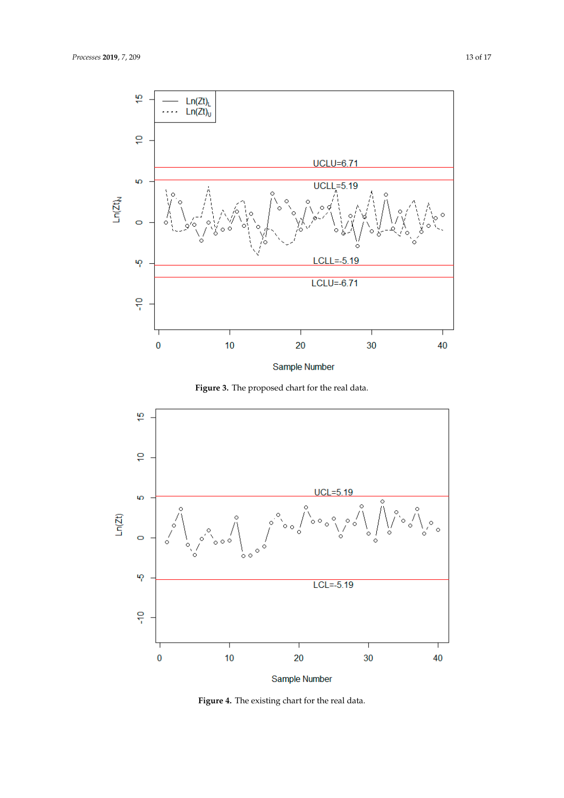<span id="page-12-0"></span>

Sample Number

**Figure 3.** The proposed chart for the real data.

<span id="page-12-1"></span>

**Figure 4.** The existing chart for the real data.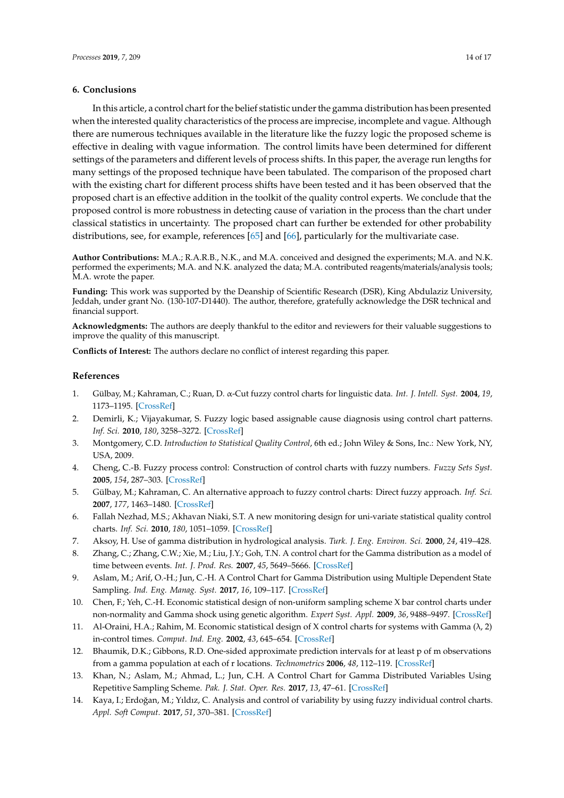#### **6. Conclusions**

In this article, a control chart for the belief statistic under the gamma distribution has been presented when the interested quality characteristics of the process are imprecise, incomplete and vague. Although there are numerous techniques available in the literature like the fuzzy logic the proposed scheme is effective in dealing with vague information. The control limits have been determined for different settings of the parameters and different levels of process shifts. In this paper, the average run lengths for many settings of the proposed technique have been tabulated. The comparison of the proposed chart with the existing chart for different process shifts have been tested and it has been observed that the proposed chart is an effective addition in the toolkit of the quality control experts. We conclude that the proposed control is more robustness in detecting cause of variation in the process than the chart under classical statistics in uncertainty. The proposed chart can further be extended for other probability distributions, see, for example, references [\[65\]](#page-16-0) and [\[66\]](#page-16-1), particularly for the multivariate case.

**Author Contributions:** M.A.; R.A.R.B., N.K., and M.A. conceived and designed the experiments; M.A. and N.K. performed the experiments; M.A. and N.K. analyzed the data; M.A. contributed reagents/materials/analysis tools; M.A. wrote the paper.

**Funding:** This work was supported by the Deanship of Scientific Research (DSR), King Abdulaziz University, Jeddah, under grant No. (130-107-D1440). The author, therefore, gratefully acknowledge the DSR technical and financial support.

**Acknowledgments:** The authors are deeply thankful to the editor and reviewers for their valuable suggestions to improve the quality of this manuscript.

**Conflicts of Interest:** The authors declare no conflict of interest regarding this paper.

#### **References**

- <span id="page-13-0"></span>1. Gülbay, M.; Kahraman, C.; Ruan, D. α-Cut fuzzy control charts for linguistic data. *Int. J. Intell. Syst.* **2004**, *19*, 1173–1195. [\[CrossRef\]](http://dx.doi.org/10.1002/int.20044)
- <span id="page-13-1"></span>2. Demirli, K.; Vijayakumar, S. Fuzzy logic based assignable cause diagnosis using control chart patterns. *Inf. Sci.* **2010**, *180*, 3258–3272. [\[CrossRef\]](http://dx.doi.org/10.1016/j.ins.2010.05.009)
- <span id="page-13-2"></span>3. Montgomery, C.D. *Introduction to Statistical Quality Control*, 6th ed.; John Wiley & Sons, Inc.: New York, NY, USA, 2009.
- <span id="page-13-3"></span>4. Cheng, C.-B. Fuzzy process control: Construction of control charts with fuzzy numbers. *Fuzzy Sets Syst.* **2005**, *154*, 287–303. [\[CrossRef\]](http://dx.doi.org/10.1016/j.fss.2005.03.002)
- <span id="page-13-4"></span>5. Gülbay, M.; Kahraman, C. An alternative approach to fuzzy control charts: Direct fuzzy approach. *Inf. Sci.* **2007**, *177*, 1463–1480. [\[CrossRef\]](http://dx.doi.org/10.1016/j.ins.2006.08.013)
- <span id="page-13-5"></span>6. Fallah Nezhad, M.S.; Akhavan Niaki, S.T. A new monitoring design for uni-variate statistical quality control charts. *Inf. Sci.* **2010**, *180*, 1051–1059. [\[CrossRef\]](http://dx.doi.org/10.1016/j.ins.2009.11.033)
- <span id="page-13-6"></span>7. Aksoy, H. Use of gamma distribution in hydrological analysis. *Turk. J. Eng. Environ. Sci.* **2000**, *24*, 419–428.
- 8. Zhang, C.; Zhang, C.W.; Xie, M.; Liu, J.Y.; Goh, T.N. A control chart for the Gamma distribution as a model of time between events. *Int. J. Prod. Res.* **2007**, *45*, 5649–5666. [\[CrossRef\]](http://dx.doi.org/10.1080/00207540701325082)
- 9. Aslam, M.; Arif, O.-H.; Jun, C.-H. A Control Chart for Gamma Distribution using Multiple Dependent State Sampling. *Ind. Eng. Manag. Syst.* **2017**, *16*, 109–117. [\[CrossRef\]](http://dx.doi.org/10.7232/iems.2017.16.1.109)
- 10. Chen, F.; Yeh, C.-H. Economic statistical design of non-uniform sampling scheme X bar control charts under non-normality and Gamma shock using genetic algorithm. *Expert Syst. Appl.* **2009**, *36*, 9488–9497. [\[CrossRef\]](http://dx.doi.org/10.1016/j.eswa.2009.01.018)
- 11. Al-Oraini, H.A.; Rahim, M. Economic statistical design of X control charts for systems with Gamma (λ, 2) in-control times. *Comput. Ind. Eng.* **2002**, *43*, 645–654. [\[CrossRef\]](http://dx.doi.org/10.1016/S0360-8352(02)00119-5)
- 12. Bhaumik, D.K.; Gibbons, R.D. One-sided approximate prediction intervals for at least p of m observations from a gamma population at each of r locations. *Technometrics* **2006**, *48*, 112–119. [\[CrossRef\]](http://dx.doi.org/10.1198/004017005000000355)
- <span id="page-13-7"></span>13. Khan, N.; Aslam, M.; Ahmad, L.; Jun, C.H. A Control Chart for Gamma Distributed Variables Using Repetitive Sampling Scheme. *Pak. J. Stat. Oper. Res.* **2017**, *13*, 47–61. [\[CrossRef\]](http://dx.doi.org/10.18187/pjsor.v13i1.1390)
- <span id="page-13-8"></span>14. Kaya, I.; Erdoğan, M.; Yıldız, C. Analysis and control of variability by using fuzzy individual control charts. *Appl. Soft Comput.* **2017**, *51*, 370–381. [\[CrossRef\]](http://dx.doi.org/10.1016/j.asoc.2016.11.048)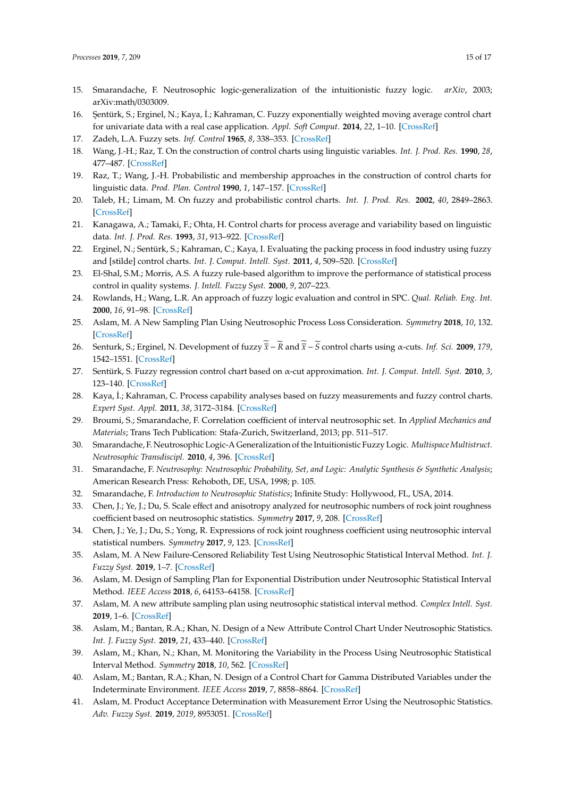- <span id="page-14-0"></span>15. Smarandache, F. Neutrosophic logic-generalization of the intuitionistic fuzzy logic. *arXiv*, 2003; arXiv:math/0303009.
- <span id="page-14-1"></span>16. Şentürk, S.; Erginel, N.; Kaya, İ.; Kahraman, C. Fuzzy exponentially weighted moving average control chart for univariate data with a real case application. *Appl. Soft Comput.* **2014**, *22*, 1–10. [\[CrossRef\]](http://dx.doi.org/10.1016/j.asoc.2014.04.022)
- <span id="page-14-2"></span>17. Zadeh, L.A. Fuzzy sets. *Inf. Control* **1965**, *8*, 338–353. [\[CrossRef\]](http://dx.doi.org/10.1016/S0019-9958(65)90241-X)
- <span id="page-14-3"></span>18. Wang, J.-H.; Raz, T. On the construction of control charts using linguistic variables. *Int. J. Prod. Res.* **1990**, *28*, 477–487. [\[CrossRef\]](http://dx.doi.org/10.1080/00207549008942731)
- <span id="page-14-4"></span>19. Raz, T.; Wang, J.-H. Probabilistic and membership approaches in the construction of control charts for linguistic data. *Prod. Plan. Control* **1990**, *1*, 147–157. [\[CrossRef\]](http://dx.doi.org/10.1080/09537289008919311)
- <span id="page-14-5"></span>20. Taleb, H.; Limam, M. On fuzzy and probabilistic control charts. *Int. J. Prod. Res.* **2002**, *40*, 2849–2863. [\[CrossRef\]](http://dx.doi.org/10.1080/00207540210137602)
- <span id="page-14-6"></span>21. Kanagawa, A.; Tamaki, F.; Ohta, H. Control charts for process average and variability based on linguistic data. *Int. J. Prod. Res.* **1993**, *31*, 913–922. [\[CrossRef\]](http://dx.doi.org/10.1080/00207549308956765)
- <span id="page-14-7"></span>22. Erginel, N.; Sentürk, S.; Kahraman, C.; Kaya, I. Evaluating the packing process in food industry using fuzzy and [stilde] control charts. *Int. J. Comput. Intell. Syst.* **2011**, *4*, 509–520. [\[CrossRef\]](http://dx.doi.org/10.1080/18756891.2011.9727809)
- <span id="page-14-8"></span>23. El-Shal, S.M.; Morris, A.S. A fuzzy rule-based algorithm to improve the performance of statistical process control in quality systems. *J. Intell. Fuzzy Syst.* **2000**, *9*, 207–223.
- <span id="page-14-9"></span>24. Rowlands, H.; Wang, L.R. An approach of fuzzy logic evaluation and control in SPC. *Qual. Reliab. Eng. Int.* **2000**, *16*, 91–98. [\[CrossRef\]](http://dx.doi.org/10.1002/(SICI)1099-1638(200003/04)16:2<91::AID-QRE307>3.0.CO;2-9)
- <span id="page-14-10"></span>25. Aslam, M. A New Sampling Plan Using Neutrosophic Process Loss Consideration. *Symmetry* **2018**, *10*, 132. [\[CrossRef\]](http://dx.doi.org/10.3390/sym10050132)
- <span id="page-14-11"></span>26. Senturk, S.; Erginel, N. Development of fuzzy  $\bar{\tilde{x}} - \tilde{R}$  and  $\bar{\tilde{x}} - \tilde{S}$  control charts using α-cuts. *Inf. Sci.* **2009**, 179, 1542–1551. [\[CrossRef\]](http://dx.doi.org/10.1016/j.ins.2008.09.022)
- <span id="page-14-12"></span>27. Sentürk, S. Fuzzy regression control chart based on α-cut approximation. *Int. J. Comput. Intell. Syst.* **2010**, *3*, 123–140. [\[CrossRef\]](http://dx.doi.org/10.1080/18756891.2010.9727683)
- <span id="page-14-13"></span>28. Kaya, İ.; Kahraman, C. Process capability analyses based on fuzzy measurements and fuzzy control charts. *Expert Syst. Appl.* **2011**, *38*, 3172–3184. [\[CrossRef\]](http://dx.doi.org/10.1016/j.eswa.2010.09.004)
- <span id="page-14-14"></span>29. Broumi, S.; Smarandache, F. Correlation coefficient of interval neutrosophic set. In *Applied Mechanics and Materials*; Trans Tech Publication: Stafa-Zurich, Switzerland, 2013; pp. 511–517.
- <span id="page-14-15"></span>30. Smarandache, F. Neutrosophic Logic-A Generalization of the Intuitionistic Fuzzy Logic. *Multispace Multistruct. Neutrosophic Transdiscipl.* **2010**, *4*, 396. [\[CrossRef\]](http://dx.doi.org/10.2139/ssrn.2721587)
- <span id="page-14-16"></span>31. Smarandache, F. *Neutrosophy: Neutrosophic Probability, Set, and Logic: Analytic Synthesis & Synthetic Analysis*; American Research Press: Rehoboth, DE, USA, 1998; p. 105.
- <span id="page-14-17"></span>32. Smarandache, F. *Introduction to Neutrosophic Statistics*; Infinite Study: Hollywood, FL, USA, 2014.
- <span id="page-14-18"></span>33. Chen, J.; Ye, J.; Du, S. Scale effect and anisotropy analyzed for neutrosophic numbers of rock joint roughness coefficient based on neutrosophic statistics. *Symmetry* **2017**, *9*, 208. [\[CrossRef\]](http://dx.doi.org/10.3390/sym9100208)
- <span id="page-14-19"></span>34. Chen, J.; Ye, J.; Du, S.; Yong, R. Expressions of rock joint roughness coefficient using neutrosophic interval statistical numbers. *Symmetry* **2017**, *9*, 123. [\[CrossRef\]](http://dx.doi.org/10.3390/sym9070123)
- <span id="page-14-20"></span>35. Aslam, M. A New Failure-Censored Reliability Test Using Neutrosophic Statistical Interval Method. *Int. J. Fuzzy Syst.* **2019**, 1–7. [\[CrossRef\]](http://dx.doi.org/10.1007/s40815-018-0588-y)
- <span id="page-14-21"></span>36. Aslam, M. Design of Sampling Plan for Exponential Distribution under Neutrosophic Statistical Interval Method. *IEEE Access* **2018**, *6*, 64153–64158. [\[CrossRef\]](http://dx.doi.org/10.1109/ACCESS.2018.2877923)
- <span id="page-14-22"></span>37. Aslam, M. A new attribute sampling plan using neutrosophic statistical interval method. *Complex Intell. Syst.* **2019**, 1–6. [\[CrossRef\]](http://dx.doi.org/10.1007/s40747-018-0088-6)
- <span id="page-14-23"></span>38. Aslam, M.; Bantan, R.A.; Khan, N. Design of a New Attribute Control Chart Under Neutrosophic Statistics. *Int. J. Fuzzy Syst.* **2019**, *21*, 433–440. [\[CrossRef\]](http://dx.doi.org/10.1007/s40815-018-0577-1)
- <span id="page-14-24"></span>39. Aslam, M.; Khan, N.; Khan, M. Monitoring the Variability in the Process Using Neutrosophic Statistical Interval Method. *Symmetry* **2018**, *10*, 562. [\[CrossRef\]](http://dx.doi.org/10.3390/sym10110562)
- <span id="page-14-25"></span>40. Aslam, M.; Bantan, R.A.; Khan, N. Design of a Control Chart for Gamma Distributed Variables under the Indeterminate Environment. *IEEE Access* **2019**, *7*, 8858–8864. [\[CrossRef\]](http://dx.doi.org/10.1109/ACCESS.2019.2891005)
- <span id="page-14-26"></span>41. Aslam, M. Product Acceptance Determination with Measurement Error Using the Neutrosophic Statistics. *Adv. Fuzzy Syst.* **2019**, *2019*, 8953051. [\[CrossRef\]](http://dx.doi.org/10.1155/2019/8953051)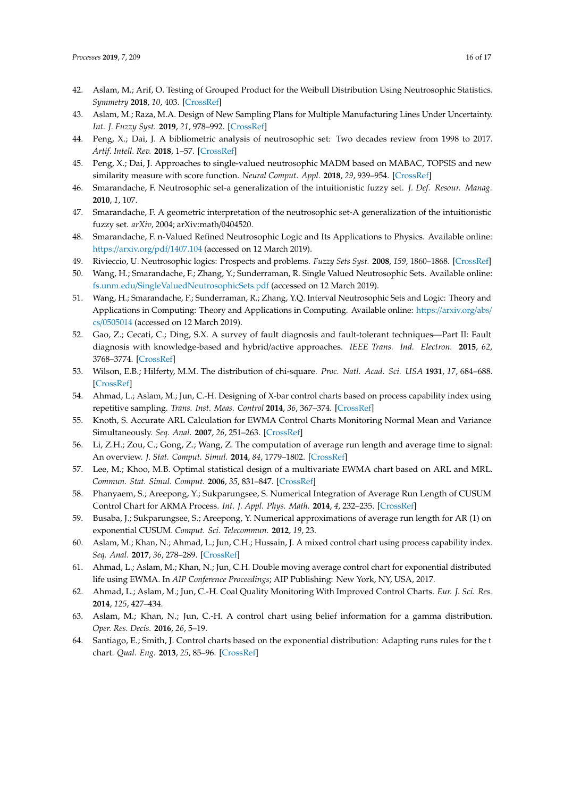- <span id="page-15-0"></span>42. Aslam, M.; Arif, O. Testing of Grouped Product for the Weibull Distribution Using Neutrosophic Statistics. *Symmetry* **2018**, *10*, 403. [\[CrossRef\]](http://dx.doi.org/10.3390/sym10090403)
- <span id="page-15-1"></span>43. Aslam, M.; Raza, M.A. Design of New Sampling Plans for Multiple Manufacturing Lines Under Uncertainty. *Int. J. Fuzzy Syst.* **2019**, *21*, 978–992. [\[CrossRef\]](http://dx.doi.org/10.1007/s40815-018-0560-x)
- <span id="page-15-2"></span>44. Peng, X.; Dai, J. A bibliometric analysis of neutrosophic set: Two decades review from 1998 to 2017. *Artif. Intell. Rev.* **2018**, 1–57. [\[CrossRef\]](http://dx.doi.org/10.1007/s10462-018-9652-0)
- <span id="page-15-3"></span>45. Peng, X.; Dai, J. Approaches to single-valued neutrosophic MADM based on MABAC, TOPSIS and new similarity measure with score function. *Neural Comput. Appl.* **2018**, *29*, 939–954. [\[CrossRef\]](http://dx.doi.org/10.1007/s00521-016-2607-y)
- <span id="page-15-4"></span>46. Smarandache, F. Neutrosophic set-a generalization of the intuitionistic fuzzy set. *J. Def. Resour. Manag.* **2010**, *1*, 107.
- 47. Smarandache, F. A geometric interpretation of the neutrosophic set-A generalization of the intuitionistic fuzzy set. *arXiv*, 2004; arXiv:math/0404520.
- 48. Smarandache, F. n-Valued Refined Neutrosophic Logic and Its Applications to Physics. Available online: https://[arxiv.org](https://arxiv.org/pdf/1407.104)/pdf/1407.104 (accessed on 12 March 2019).
- 49. Rivieccio, U. Neutrosophic logics: Prospects and problems. *Fuzzy Sets Syst.* **2008**, *159*, 1860–1868. [\[CrossRef\]](http://dx.doi.org/10.1016/j.fss.2007.11.011)
- 50. Wang, H.; Smarandache, F.; Zhang, Y.; Sunderraman, R. Single Valued Neutrosophic Sets. Available online: fs.unm.edu/[SingleValuedNeutrosophicSets.pdf](fs.unm.edu/SingleValuedNeutrosophicSets.pdf) (accessed on 12 March 2019).
- <span id="page-15-5"></span>51. Wang, H.; Smarandache, F.; Sunderraman, R.; Zhang, Y.Q. Interval Neutrosophic Sets and Logic: Theory and Applications in Computing: Theory and Applications in Computing. Available online: https://[arxiv.org](https://arxiv.org/abs/cs/0505014)/abs/ cs/[0505014](https://arxiv.org/abs/cs/0505014) (accessed on 12 March 2019).
- <span id="page-15-6"></span>52. Gao, Z.; Cecati, C.; Ding, S.X. A survey of fault diagnosis and fault-tolerant techniques—Part II: Fault diagnosis with knowledge-based and hybrid/active approaches. *IEEE Trans. Ind. Electron.* **2015**, *62*, 3768–3774. [\[CrossRef\]](http://dx.doi.org/10.1109/TIE.2015.2417501)
- <span id="page-15-7"></span>53. Wilson, E.B.; Hilferty, M.M. The distribution of chi-square. *Proc. Natl. Acad. Sci. USA* **1931**, *17*, 684–688. [\[CrossRef\]](http://dx.doi.org/10.1073/pnas.17.12.684)
- <span id="page-15-8"></span>54. Ahmad, L.; Aslam, M.; Jun, C.-H. Designing of X-bar control charts based on process capability index using repetitive sampling. *Trans. Inst. Meas. Control* **2014**, *36*, 367–374. [\[CrossRef\]](http://dx.doi.org/10.1177/0142331213502070)
- <span id="page-15-9"></span>55. Knoth, S. Accurate ARL Calculation for EWMA Control Charts Monitoring Normal Mean and Variance Simultaneously. *Seq. Anal.* **2007**, *26*, 251–263. [\[CrossRef\]](http://dx.doi.org/10.1080/07474940701404823)
- 56. Li, Z.H.; Zou, C.; Gong, Z.; Wang, Z. The computation of average run length and average time to signal: An overview. *J. Stat. Comput. Simul.* **2014**, *84*, 1779–1802. [\[CrossRef\]](http://dx.doi.org/10.1080/00949655.2013.766737)
- 57. Lee, M.; Khoo, M.B. Optimal statistical design of a multivariate EWMA chart based on ARL and MRL. *Commun. Stat. Simul. Comput.* **2006**, *35*, 831–847. [\[CrossRef\]](http://dx.doi.org/10.1080/03610910600716779)
- 58. Phanyaem, S.; Areepong, Y.; Sukparungsee, S. Numerical Integration of Average Run Length of CUSUM Control Chart for ARMA Process. *Int. J. Appl. Phys. Math.* **2014**, *4*, 232–235. [\[CrossRef\]](http://dx.doi.org/10.7763/IJAPM.2014.V4.289)
- 59. Busaba, J.; Sukparungsee, S.; Areepong, Y. Numerical approximations of average run length for AR (1) on exponential CUSUM. *Comput. Sci. Telecommun.* **2012**, *19*, 23.
- 60. Aslam, M.; Khan, N.; Ahmad, L.; Jun, C.H.; Hussain, J. A mixed control chart using process capability index. *Seq. Anal.* **2017**, *36*, 278–289. [\[CrossRef\]](http://dx.doi.org/10.1080/07474946.2017.1319690)
- 61. Ahmad, L.; Aslam, M.; Khan, N.; Jun, C.H. Double moving average control chart for exponential distributed life using EWMA. In *AIP Conference Proceedings*; AIP Publishing: New York, NY, USA, 2017.
- <span id="page-15-10"></span>62. Ahmad, L.; Aslam, M.; Jun, C.-H. Coal Quality Monitoring With Improved Control Charts. *Eur. J. Sci. Res.* **2014**, *125*, 427–434.
- <span id="page-15-11"></span>63. Aslam, M.; Khan, N.; Jun, C.-H. A control chart using belief information for a gamma distribution. *Oper. Res. Decis.* **2016**, *26*, 5–19.
- <span id="page-15-12"></span>64. Santiago, E.; Smith, J. Control charts based on the exponential distribution: Adapting runs rules for the t chart. *Qual. Eng.* **2013**, *25*, 85–96. [\[CrossRef\]](http://dx.doi.org/10.1080/08982112.2012.740646)